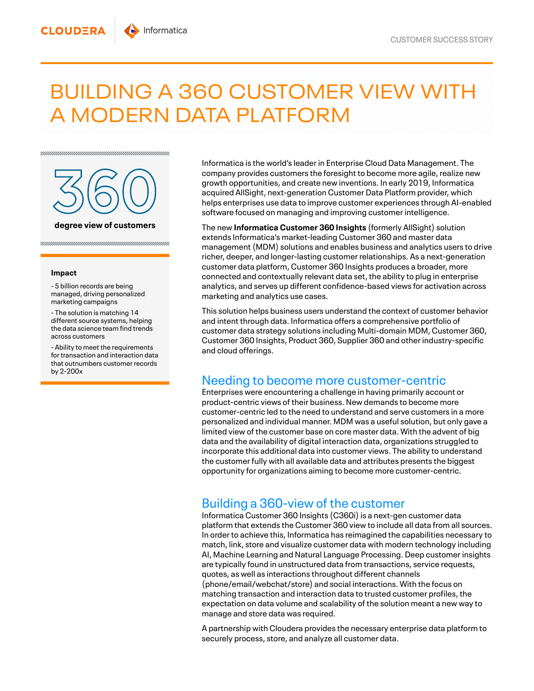## BUILDING A 360 CUSTOMER VIEW WITH A MODERN DATA PLATFORM



## **Impact**

**CLOUDERA** 

- 5 billion records are being managed, driving personalized marketing campaigns

- The solution is matching 14 different source systems, helping the data science team find trends across customers

- Ability to meet the requirements for transaction and interaction data that outnumbers customer records by 2-200x

Informatica is the world's leader in Enterprise Cloud Data Management. The company provides customers the foresight to become more agile, realize new growth opportunities, and create new inventions. In early 2019, Informatica acquired AllSight, next-generation Customer Data Platform provider, which helps enterprises use data to improve customer experiences through AI-enabled software focused on managing and improving customer intelligence.

The new **Informatica Customer 360 Insights** (formerly AllSight) solution extends Informatica's market-leading Customer 360 and master data management(MDM) solutions and enables business and analytics users to drive richer, deeper, and longer-lasting customer relationships. As a next-generation customer data platform, Customer 360 Insights produces a broader, more connected and contextually relevant data set, the ability to plug in enterprise analytics, and serves up different confidence-based views for activation across marketing and analytics use cases.

This solution helps business users understand the context of customer behavior and intent through data. Informatica offers a comprehensive portfolio of customer data strategy solutions including Multi-domain MDM, Customer 360, Customer 360 Insights, Product 360, Supplier 360 and other industry-specific and cloud offerings.

## Needing to become more customer-centric

Enterprises were encountering a challenge in having primarily account or product-centric views of their business. New demands to become more customer-centric led to the need to understand and serve customers in a more personalized and individual manner. MDM was a useful solution, but only gave a limited view of the customer base on core master data. With the advent of big data and the availability of digital interaction data, organizations struggled to incorporate this additional data into customer views. The ability to understand the customer fully with all available data and attributes presents the biggest opportunity for organizations aiming to become more customer-centric.

## Building a 360-view of the customer

Informatica Customer 360 Insights (C360i) is a next-gen customer data platform that extends the Customer 360 view to include all data from all sources. In order to achieve this, Informatica has reimagined the capabilities necessary to match, link, store and visualize customer data with modern technology including AI, Machine Learning and Natural Language Processing. Deep customer insights are typically found in unstructured data from transactions, service requests, quotes, as well as interactions throughout different channels (phone/email/webchat/store) and social interactions. With the focus on matching transaction and interaction data to trusted customer profiles, the expectation on data volume and scalability of the solution meant a new way to manage and store data was required.

A partnership with Cloudera provides the necessary enterprise data platform to securely process, store, and analyze all customer data.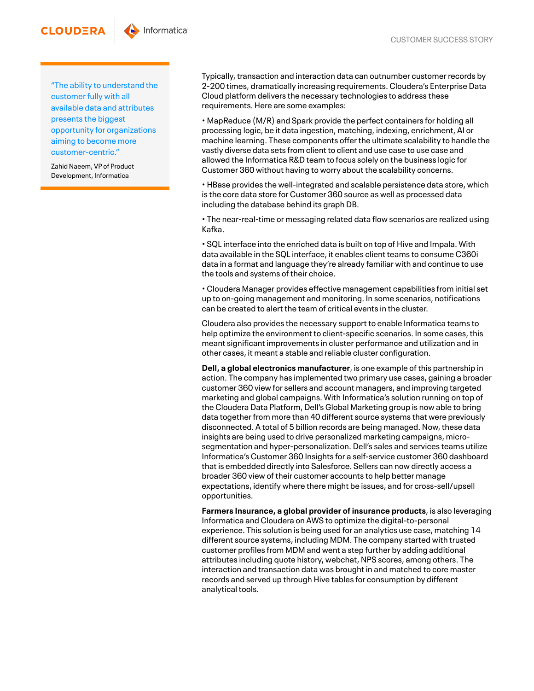"The ability to understand the customer fully with all available data and attributes presents the biggest opportunity for organizations aiming to become more customer-centric."

Zahid Naeem, VP of Product Development, Informatica

**CLOUDERA** 

Typically, transaction and interaction data can outnumber customer records by 2-200 times, dramatically increasing requirements. Cloudera's Enterprise Data Cloud platform delivers the necessary technologies to address these requirements. Here are some examples:

• MapReduce (M/R) and Spark provide the perfect containers for holding all processing logic, be it data ingestion, matching, indexing, enrichment, AI or machine learning. These components offer the ultimate scalability to handle the vastly diverse data sets from client to client and use case to use case and allowed the Informatica R&D team to focus solely on the business logic for Customer 360 without having to worry about the scalability concerns.

• HBase provides the well-integrated and scalable persistence data store, which is the core data store for Customer 360 source as well as processed data including the database behind its graph DB.

• The near-real-time or messaging related data flow scenarios are realized using Kafka.

• SQL interface into the enriched data is built on top of Hive and Impala. With data available in the SQL interface, it enables client teams to consume C360i data in a format and language they're already familiar with and continue to use the tools and systems of their choice.

• Cloudera Manager provides effective management capabilities from initial set up to on-going management and monitoring. In some scenarios, notifications can be created to alert the team of critical events in the cluster.

Cloudera also provides the necessary support to enable Informatica teams to help optimize the environment to client-specific scenarios. In some cases, this meant significant improvements in cluster performance and utilization and in other cases, it meant a stable and reliable cluster configuration.

**Dell, a global electronics manufacturer**, is one example of this partnership in action. The company has implemented two primary use cases, gaining a broader customer 360 view for sellers and account managers, and improving targeted marketing and global campaigns. With Informatica's solution running on top of the Cloudera Data Platform, Dell's Global Marketing group is now able to bring data together from more than 40 different source systems that were previously disconnected. A total of 5 billion records are being managed. Now, these data insights are being used to drive personalized marketing campaigns, microsegmentation and hyper-personalization. Dell's sales and services teams utilize Informatica's Customer 360 Insights for a self-service customer 360 dashboard that is embedded directly into Salesforce. Sellers can now directly access a broader 360 view of their customer accounts to help better manage expectations, identify where there might be issues, and for cross-sell/upsell opportunities.

**Farmers Insurance, a global provider of insurance products**, is also leveraging Informatica and Cloudera on AWS to optimize the digital-to-personal experience. This solution is being used for an analytics use case, matching 14 different source systems, including MDM. The company started with trusted customer profiles from MDM and went a step further by adding additional attributes including quote history, webchat, NPS scores, among others. The interaction and transaction data was brought in and matched to core master records and served up through Hive tables for consumption by different analytical tools.